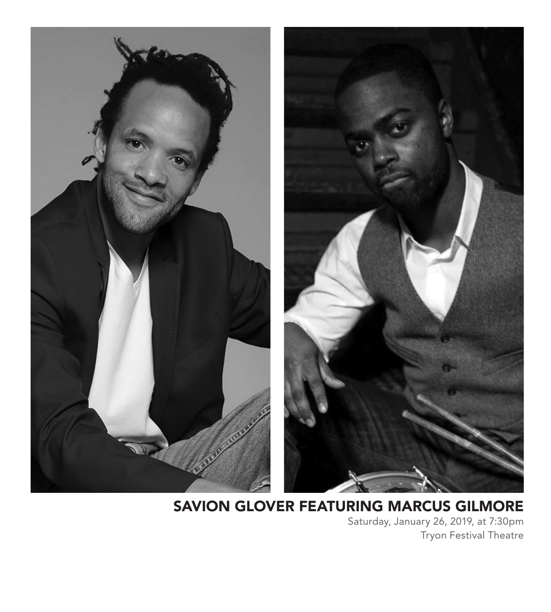

### SAVION GLOVER FEATURING MARCUS GILMORE

Saturday, January 26, 2019, at 7:30pm Tryon Festival Theatre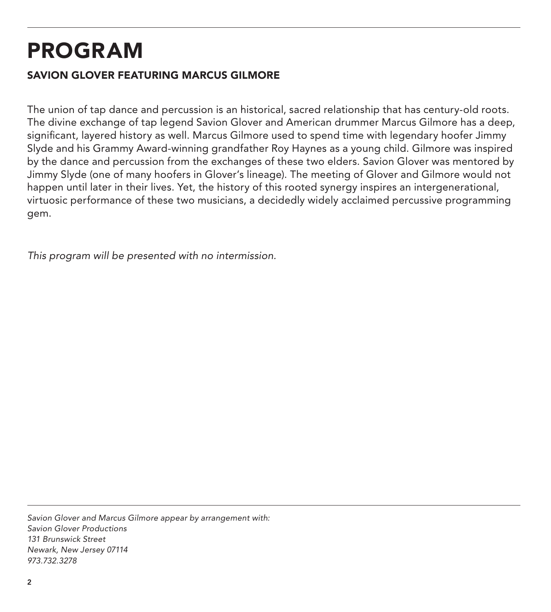## PROGRAM

#### SAVION GLOVER FEATURING MARCUS GILMORE

The union of tap dance and percussion is an historical, sacred relationship that has century-old roots. The divine exchange of tap legend Savion Glover and American drummer Marcus Gilmore has a deep, significant, layered history as well. Marcus Gilmore used to spend time with legendary hoofer Jimmy Slyde and his Grammy Award-winning grandfather Roy Haynes as a young child. Gilmore was inspired by the dance and percussion from the exchanges of these two elders. Savion Glover was mentored by Jimmy Slyde (one of many hoofers in Glover's lineage). The meeting of Glover and Gilmore would not happen until later in their lives. Yet, the history of this rooted synergy inspires an intergenerational, virtuosic performance of these two musicians, a decidedly widely acclaimed percussive programming gem.

*This program will be presented with no intermission.*

*Savion Glover and Marcus Gilmore appear by arrangement with: Savion Glover Productions 131 Brunswick Street Newark, New Jersey 07114 973.732.3278*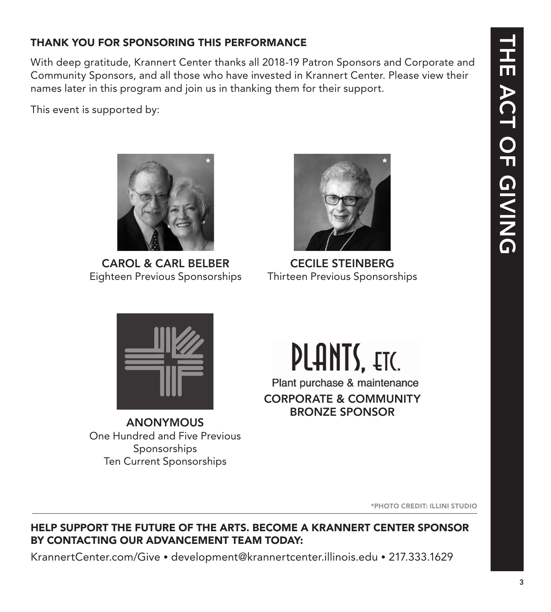THE ACT OF GIVING THE ACT OF GIVING

#### THANK YOU FOR SPONSORING THIS PERFORMANCE

With deep gratitude, Krannert Center thanks all 2018-19 Patron Sponsors and Corporate and Community Sponsors, and all those who have invested in Krannert Center. Please view their names later in this program and join us in thanking them for their support.

\*

This event is supported by:



Eighteen Previous Sponsorships

CECILE STEINBERG Thirteen Previous Sponsorships

\*



ANONYMOUS One Hundred and Five Previous **Sponsorships** Ten Current Sponsorships

\*PHOTO CREDIT: ILLINI STUDIO

#### HELP SUPPORT THE FUTURE OF THE ARTS. BECOME A KRANNERT CENTER SPONSOR BY CONTACTING OUR ADVANCEMENT TEAM TODAY:

KrannertCenter.com/Give • development@krannertcenter.illinois.edu • 217.333.1629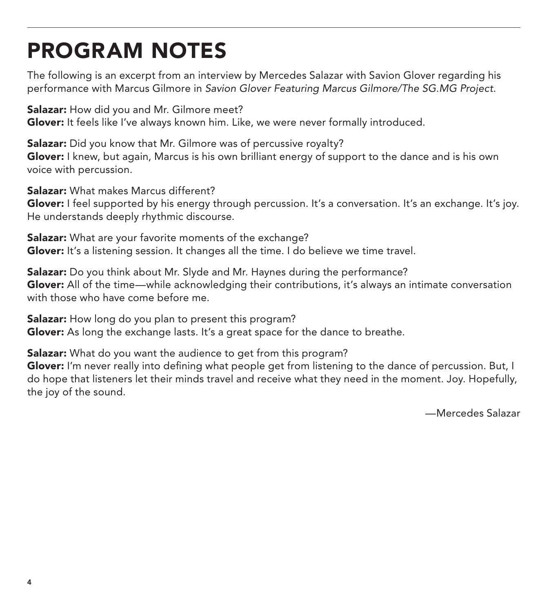# PROGRAM NOTES

The following is an excerpt from an interview by Mercedes Salazar with Savion Glover regarding his performance with Marcus Gilmore in *Savion Glover Featuring Marcus Gilmore/The SG.MG Project*.

**Salazar:** How did you and Mr. Gilmore meet? Glover: It feels like I've always known him. Like, we were never formally introduced.

**Salazar:** Did you know that Mr. Gilmore was of percussive royalty? Glover: I knew, but again, Marcus is his own brilliant energy of support to the dance and is his own voice with percussion.

Salazar: What makes Marcus different?

Glover: I feel supported by his energy through percussion. It's a conversation. It's an exchange. It's joy. He understands deeply rhythmic discourse.

Salazar: What are your favorite moments of the exchange? Glover: It's a listening session. It changes all the time. I do believe we time travel.

Salazar: Do you think about Mr. Slyde and Mr. Haynes during the performance? Glover: All of the time—while acknowledging their contributions, it's always an intimate conversation with those who have come before me.

Salazar: How long do you plan to present this program? Glover: As long the exchange lasts. It's a great space for the dance to breathe.

Salazar: What do you want the audience to get from this program?

Glover: I'm never really into defining what people get from listening to the dance of percussion. But, I do hope that listeners let their minds travel and receive what they need in the moment. Joy. Hopefully, the joy of the sound.

—Mercedes Salazar